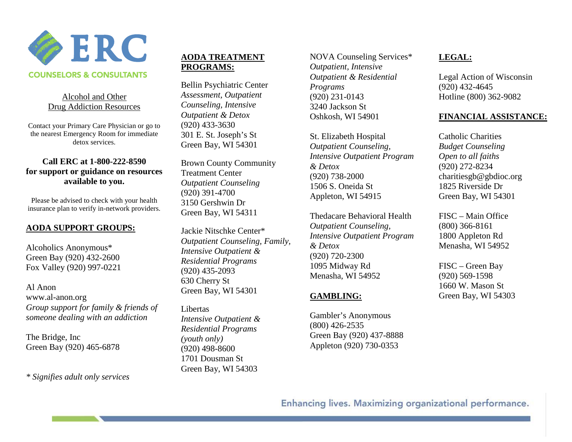

#### **COUNSELORS & CONSULTANTS**

#### Alcohol and Other Drug Addiction Resources

Contact your Primary Care Physician or go to the nearest Emergency Room for immediate detox services.

#### **Call ERC at 1-800-222-8590 for support or guidance on resources available to you.**

Please be advised to check with your health insurance plan to verify in-network providers.

## **AODA SUPPORT GROUPS:**

Alcoholics Anonymous\* Green Bay (920) 432-2600 Fox Valley (920) 997-0221

Al Anon www.al-anon.org *Group support for family & friends of someone dealing with an addiction*

The Bridge, Inc Green Bay (920) 465-6878

*\* Signifies adult only services*

## **AODA TREATMENT PROGRAMS:**

Bellin Psychiatric Center *Assessment, Outpatient Counseling, Intensive Outpatient & Detox* (920) 433-3630 301 E. St. Joseph's St Green Bay, WI 54301

Brown County Community Treatment Center *Outpatient Counseling* (920) 391-4700 3150 Gershwin Dr Green Bay, WI 54311

Jackie Nitschke Center\* *Outpatient Counseling, Family, Intensive Outpatient & Residential Programs* (920) 435-2093 630 Cherry St Green Bay, WI 54301

Libertas *Intensive Outpatient & Residential Programs (youth only)* (920) 498-8600 1701 Dousman St Green Bay, WI 54303

NOVA Counseling Services\* *Outpatient, Intensive Outpatient & Residential Programs* (920) 231-0143 3240 Jackson St Oshkosh, WI 54901

St. Elizabeth Hospital *Outpatient Counseling, Intensive Outpatient Program & Detox* (920) 738-2000 1506 S. Oneida St Appleton, WI 54915

Thedacare Behavioral Health *Outpatient Counseling, Intensive Outpatient Program & Detox* (920) 720-2300 1095 Midway Rd Menasha, WI 54952

## **GAMBLING:**

Gambler's Anonymous (800) 426-2535 Green Bay (920) 437-8888 Appleton (920) 730-0353

# **LEGAL:**

Legal Action of Wisconsin (920) 432-4645 Hotline (800) 362-9082

#### **FINANCIAL ASSISTANCE:**

Catholic Charities *Budget Counseling Open to all faiths* (920) 272-8234 charitiesgb@gbdioc.org 1825 Riverside Dr Green Bay, WI 54301

FISC – Main Office (800) 366-8161 1800 Appleton Rd Menasha, WI 54952

FISC – Green Bay (920) 569-1598 1660 W. Mason St Green Bay, WI 54303

Enhancing lives. Maximizing organizational performance.